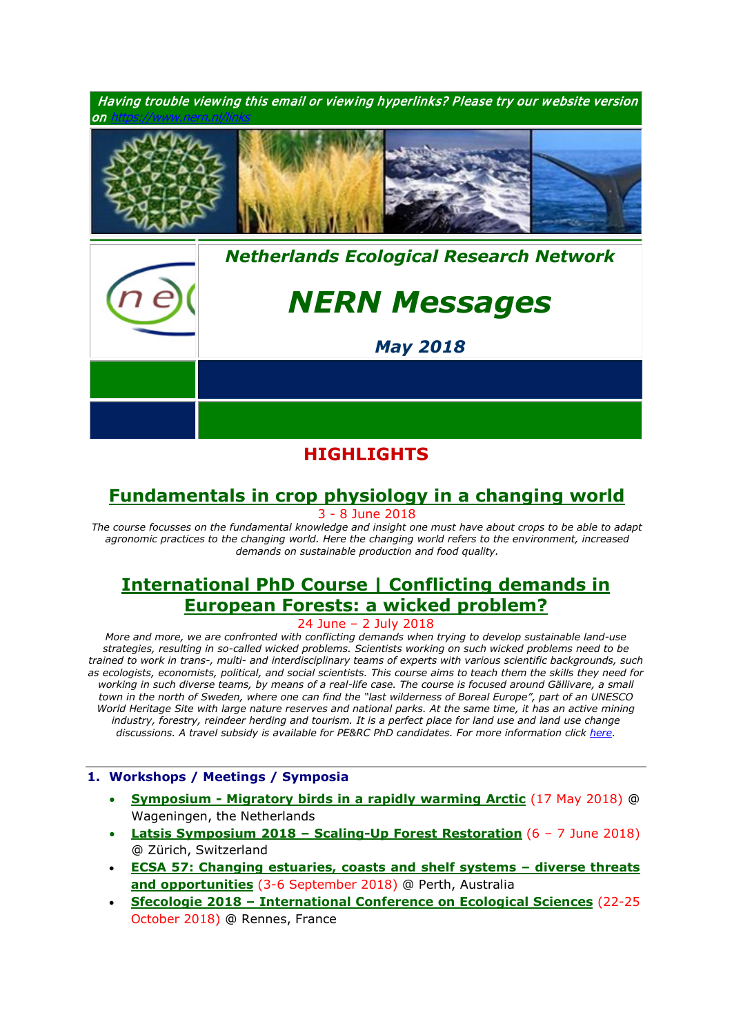

# **HIGHLIGHTS**

# **[Fundamentals in crop physiology in a changing world](https://www.pe-rc.nl/crop-physiology)**

3 - 8 June 2018

*The course focusses on the fundamental knowledge and insight one must have about crops to be able to adapt agronomic practices to the changing world. Here the changing world refers to the environment, increased demands on sustainable production and food quality.*

# **[International PhD Course | Conflicting demands in](https://www.pe-rc.nl/european-forestry)  [European Forests: a wicked problem?](https://www.pe-rc.nl/european-forestry)**

24 June – 2 July 2018

*More and more, we are confronted with conflicting demands when trying to develop sustainable land-use strategies, resulting in so-called wicked problems. Scientists working on such wicked problems need to be trained to work in trans-, multi- and interdisciplinary teams of experts with various scientific backgrounds, such as ecologists, economists, political, and social scientists. This course aims to teach them the skills they need for*  working in such diverse teams, by means of a real-life case. The course is focused around Gällivare, a small *town in the north of Sweden, where one can find the "last wilderness of Boreal Europe", part of an UNESCO World Heritage Site with large nature reserves and national parks. At the same time, it has an active mining*  industry, forestry, reindeer herding and tourism. It is a perfect place for land use and land use change *discussions. A travel subsidy is available for PE&RC PhD candidates. For more information click [here.](https://www.pe-rc.nl/european-forestry)*

## **1. Workshops / Meetings / Symposia**

- **Symposium - [Migratory birds in a rapidly warming Arctic](https://www.nern.nl/sites/default/files/symposium_invitation.pdf)** (17 May 2018) @ Wageningen, the Netherlands
- **Latsis Symposium 2018 – [Scaling-Up Forest Restoration](https://www.pe-rc.nl/sites/default/files/Latsis2018_Scaling-Up_Forest_Restoration_ETH-Zurich_06-07_June2018.pdf)** (6 7 June 2018) @ Zürich, Switzerland
- **[ECSA 57: Changing estuaries, coasts and shelf systems –](http://www.estuarinecoastalconference.com/) diverse threats [and opportunities](http://www.estuarinecoastalconference.com/)** (3-6 September 2018) @ Perth, Australia
- **Sfecologie 2018 – [International Conference on Ecological Sciences](https://sfecologie2018.sciencesconf.org/)** (22-25 October 2018) @ Rennes, France